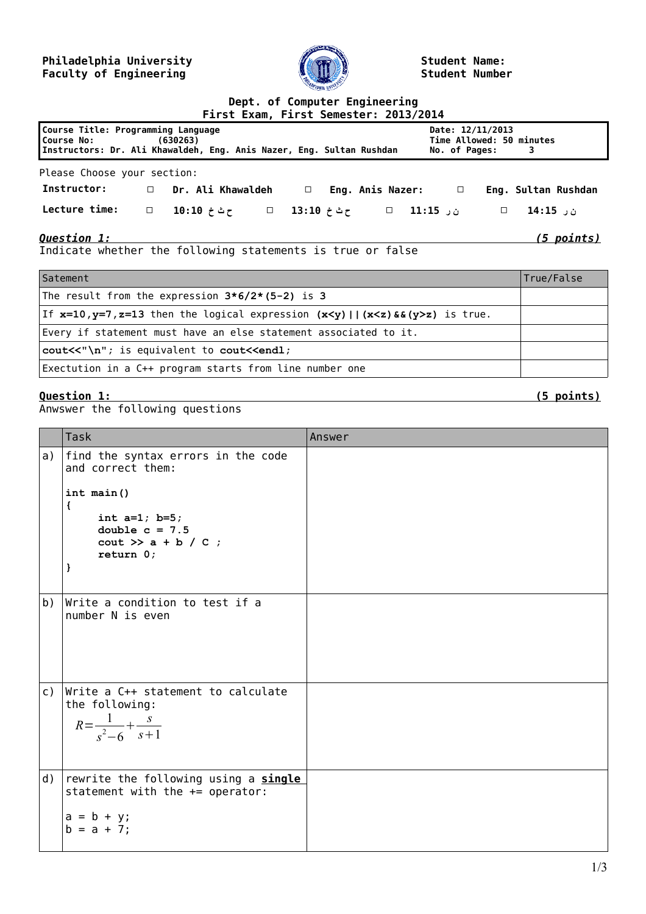## **Philadelphia University Faculty of Engineering**



**Student Name: Student Number**

## **Dept. of Computer Engineering First Exam, First Semester: 2013/2014 Course Title: Programming Language Course No: (630263) Instructors: Dr. Ali Khawaldeh, Eng. Anis Nazer, Eng. Sultan Rushdan Date: 12/11/2013 Time Allowed: 50 minutes No. of Pages: 3** Please Choose your section: **Instructor: □ Dr. Ali Khawaldeh □ Eng. Anis Nazer: □ Eng. Sultan Rushdan ن ر 14:15 □ ن ر 11:15 □ ح ث خ 13:10 □ ح ث خ 10:10 □ :time Lecture** *Question 1: (5 points)* Indicate whether the following statements is true or false

| Satement                                                                                          | True/False |
|---------------------------------------------------------------------------------------------------|------------|
| The result from the expression $3*6/2*(5-2)$ is 3                                                 |            |
| If $x=10$ , $y=7$ , $z=13$ then the logical expression $(x < y)$   $(x < z)$ & $(y > z)$ is true. |            |
| Every if statement must have an else statement associated to it.                                  |            |
| cout<<"\n"; is equivalent to cout< <endl;< td=""><td></td></endl;<>                               |            |
| Exectution in a C++ program starts from line number one                                           |            |

## **Question 1: (5 points)**

Anwswer the following questions

|    | Task                                                                                              | Answer |
|----|---------------------------------------------------------------------------------------------------|--------|
| a) | find the syntax errors in the code<br>and correct them:<br>int main()                             |        |
|    | €<br>int $a=1$ ; $b=5$ ;<br>double $c = 7.5$<br>$\text{cout}$ >> a + b / C ;<br>return 0;<br>}    |        |
|    |                                                                                                   |        |
| b) | Write a condition to test if a<br>number N is even                                                |        |
| c) | Write a C++ statement to calculate<br>the following:<br>$R = \frac{1}{s^2 - 6} + \frac{s}{s + 1}$ |        |
| d) | rewrite the following using a single<br>statement with the $+=$ operator:                         |        |
|    | $a = b + y;$<br>$b = a + 7;$                                                                      |        |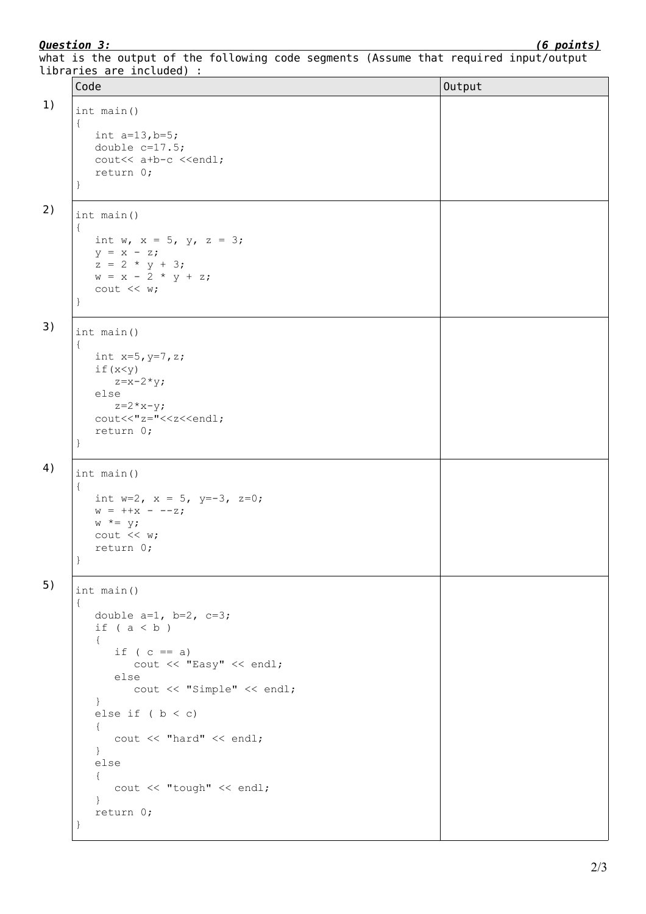*Question 3: (6 points)*

|  | libraries are included) : |  |  |  |  |                                                                                      |  |
|--|---------------------------|--|--|--|--|--------------------------------------------------------------------------------------|--|
|  |                           |  |  |  |  | what is the output of the following code segments (Assume that required input/output |  |

| Code                                                                                                                                                                                                                                                                                                                            | Output |
|---------------------------------------------------------------------------------------------------------------------------------------------------------------------------------------------------------------------------------------------------------------------------------------------------------------------------------|--------|
| int main()<br>$\{$<br>int $a=13, b=5;$<br>double $c=17.5$ ;<br>cout<< a+b-c < <endl;<br>return 0;<br/><math>\}</math></endl;<br>                                                                                                                                                                                                |        |
| int main()<br>$\{$<br>int w, $x = 5$ , $y$ , $z = 3$ ;<br>$y = x - z;$<br>$z = 2 * y + 3;$<br>$w = x - 2 * y + z;$<br>cout << w;<br>$\}$                                                                                                                                                                                        |        |
| int main()<br>$\{$<br>int $x=5, y=7, z;$<br>if(x < y)<br>$z=x-2*y;$<br>else<br>$z = 2 \times x - y;$<br>cout<<"z="< <z<<endl;<br>return 0;<br/>}</z<<endl;<br>                                                                                                                                                                  |        |
| int main()<br>$\{$<br>int w=2, $x = 5$ , $y=-3$ , $z=0$ ;<br>$w = +x - -z;$<br>$w^* = y;$<br>$\text{cut} \ll w$ ;<br>return 0;                                                                                                                                                                                                  |        |
| int main()<br>$\{$<br>double $a=1$ , $b=2$ , $c=3$ ;<br>if $(a < b)$<br>$\{$<br>if $(c == a)$<br>cout << "Easy" << endl;<br>else<br>cout << "Simple" << endl;<br>$\}$<br>else if $(b < c)$<br>$\{$<br>cout << "hard" << endl;<br>$\}$<br>else<br>$\{$<br>cout << "tough" << endl;<br>$\mathcal{F}$<br>return 0;<br>$\mathbf{r}$ |        |